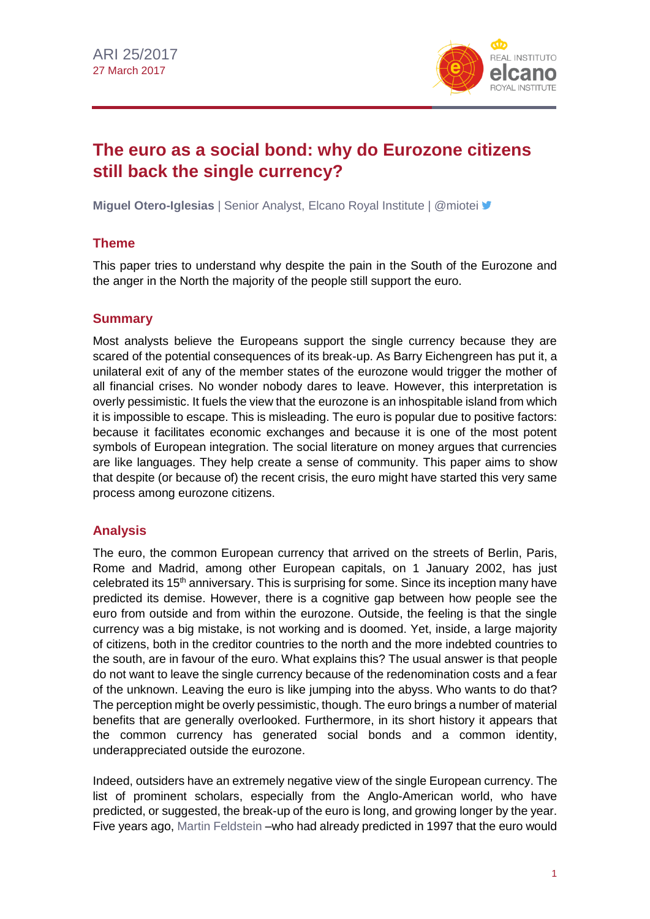

# **The euro as a social bond: why do Eurozone citizens still back the single currency?**

**Miguel Otero-Iglesias** | Senior Analyst, Elcano Royal Institute | @miotei **y** 

## **Theme**

This paper tries to understand why despite the pain in the South of the Eurozone and the anger in the North the majority of the people still support the euro.

## **Summary**

Most analysts believe the Europeans support the single currency because they are scared of the potential consequences of its break-up. As Barry Eichengreen has put it, a unilateral exit of any of the member states of the eurozone would trigger the mother of all financial crises. No wonder nobody dares to leave. However, this interpretation is overly pessimistic. It fuels the view that the eurozone is an inhospitable island from which it is impossible to escape. This is misleading. The euro is popular due to positive factors: because it facilitates economic exchanges and because it is one of the most potent symbols of European integration. The social literature on money argues that currencies are like languages. They help create a sense of community. This paper aims to show that despite (or because of) the recent crisis, the euro might have started this very same process among eurozone citizens.

## **Analysis**

The euro, the common European currency that arrived on the streets of Berlin, Paris, Rome and Madrid, among other European capitals, on 1 January 2002, has just celebrated its 15<sup>th</sup> anniversary. This is surprising for some. Since its inception many have predicted its demise. However, there is a cognitive gap between how people see the euro from outside and from within the eurozone. Outside, the feeling is that the single currency was a big mistake, is not working and is doomed. Yet, inside, a large majority of citizens, both in the creditor countries to the north and the more indebted countries to the south, are in favour of the euro. What explains this? The usual answer is that people do not want to leave the single currency because of the redenomination costs and a fear of the unknown. Leaving the euro is like jumping into the abyss. Who wants to do that? The perception might be overly pessimistic, though. The euro brings a number of material benefits that are generally overlooked. Furthermore, in its short history it appears that the common currency has generated social bonds and a common identity, underappreciated outside the eurozone.

Indeed, outsiders have an extremely negative view of the single European currency. The list of prominent scholars, especially from the Anglo-American world, who have predicted, or suggested, the break-up of the euro is long, and growing longer by the year. Five years ago, [Martin Feldstein](http://www.nber.org/feldstein/fa121311.pdf) –who had already predicted in 1997 that the euro would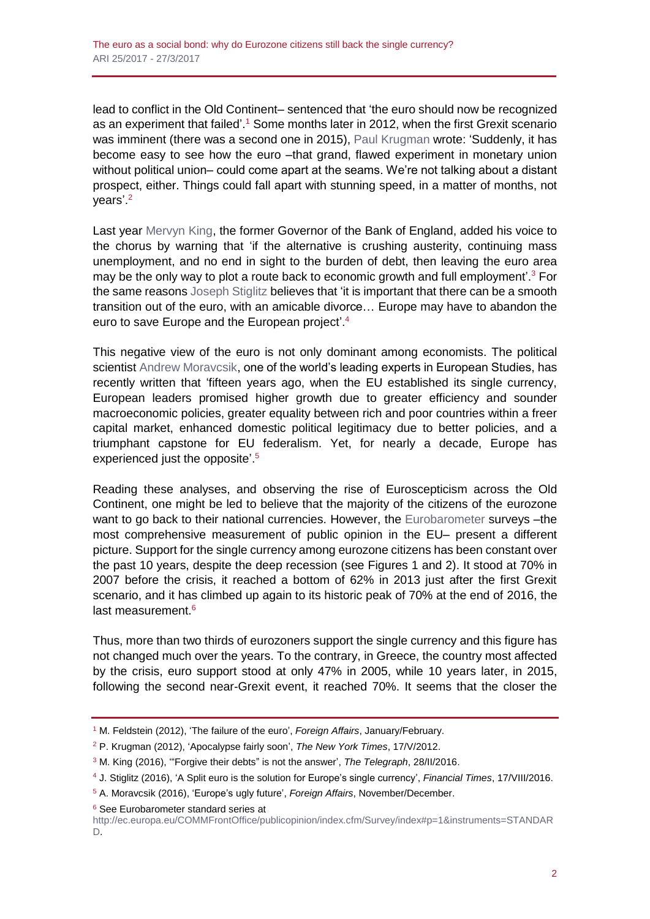lead to conflict in the Old Continent– sentenced that 'the euro should now be recognized as an experiment that failed'.<sup>1</sup> Some months later in 2012, when the first Grexit scenario was imminent (there was a second one in 2015), [Paul Krugman](http://www.nytimes.com/2012/05/18/opinion/krugman-apocalypse-fairly-soon.html?ref=paulkrugman) wrote: 'Suddenly, it has become easy to see how the euro -that grand, flawed experiment in monetary union without political union– could come apart at the seams. We're not talking about a distant prospect, either. Things could fall apart with stunning speed, in a matter of months, not years'.<sup>2</sup>

Last year [Mervyn King,](http://www.telegraph.co.uk/business/2016/02/28/lord-mervyn-king-forgive-them-their-debts-is-not-the-answer/) the former Governor of the Bank of England, added his voice to the chorus by warning that 'if the alternative is crushing austerity, continuing mass unemployment, and no end in sight to the burden of debt, then leaving the euro area may be the only way to plot a route back to economic growth and full employment'.<sup>3</sup> For the same reasons [Joseph Stiglitz](https://www.ft.com/content/dbbd151c-62f4-11e6-8310-ecf0bddad227) believes that 'it is important that there can be a smooth transition out of the euro, with an amicable divorce… Europe may have to abandon the euro to save Europe and the European project'.<sup>4</sup>

This negative view of the euro is not only dominant among economists. The political scientist [Andrew Moravcsik,](https://www.foreignaffairs.com/reviews/review-essay/2016-10-17/europe-s-ugly-future) one of the world's leading experts in European Studies, has recently written that 'fifteen years ago, when the EU established its single currency, European leaders promised higher growth due to greater efficiency and sounder macroeconomic policies, greater equality between rich and poor countries within a freer capital market, enhanced domestic political legitimacy due to better policies, and a triumphant capstone for EU federalism. Yet, for nearly a decade, Europe has experienced just the opposite'. 5

Reading these analyses, and observing the rise of Euroscepticism across the Old Continent, one might be led to believe that the majority of the citizens of the eurozone want to go back to their national currencies. However, the [Eurobarometer](http://ec.europa.eu/COMMFrontOffice/publicopinion/index.cfm/Survey/index#p=1&instruments=STANDARD) surveys -the most comprehensive measurement of public opinion in the EU– present a different picture. Support for the single currency among eurozone citizens has been constant over the past 10 years, despite the deep recession (see Figures 1 and 2). It stood at 70% in 2007 before the crisis, it reached a bottom of 62% in 2013 just after the first Grexit scenario, and it has climbed up again to its historic peak of 70% at the end of 2016, the last measurement.<sup>6</sup>

Thus, more than two thirds of eurozoners support the single currency and this figure has not changed much over the years. To the contrary, in Greece, the country most affected by the crisis, euro support stood at only 47% in 2005, while 10 years later, in 2015, following the second near-Grexit event, it reached 70%. It seems that the closer the

<sup>6</sup> See Eurobarometer standard series at

<sup>1</sup> M. Feldstein (2012), 'The failure of the euro', *Foreign Affairs*, January/February.

<sup>2</sup> P. Krugman (2012), 'Apocalypse fairly soon', *The New York Times*, 17/V/2012.

<sup>3</sup> M. King (2016), '"Forgive their debts" is not the answer', *The Telegraph*, 28/II/2016.

<sup>4</sup> J. Stiglitz (2016), 'A Split euro is the solution for Europe's single currency', *Financial Times*, 17/VIII/2016.

<sup>5</sup> A. Moravcsik (2016), 'Europe's ugly future', *Foreign Affairs*, November/December.

[http://ec.europa.eu/COMMFrontOffice/publicopinion/index.cfm/Survey/index#p=1&instruments=STANDAR](http://ec.europa.eu/COMMFrontOffice/publicopinion/index.cfm/Survey/index#p=1&instruments=STANDARD) [D.](http://ec.europa.eu/COMMFrontOffice/publicopinion/index.cfm/Survey/index#p=1&instruments=STANDARD)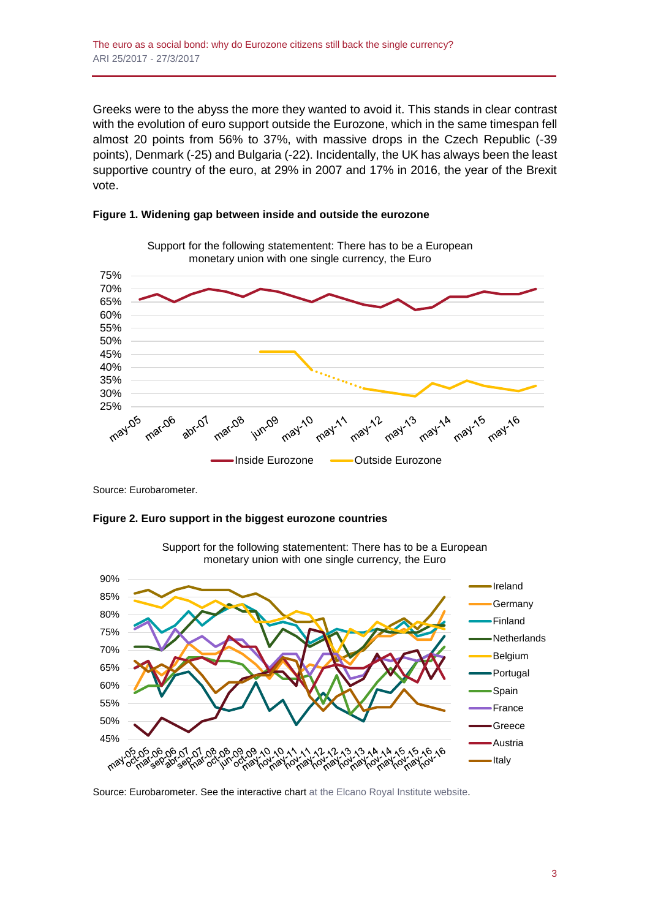Greeks were to the abyss the more they wanted to avoid it. This stands in clear contrast with the evolution of euro support outside the Eurozone, which in the same timespan fell almost 20 points from 56% to 37%, with massive drops in the Czech Republic (-39 points), Denmark (-25) and Bulgaria (-22). Incidentally, the UK has always been the least supportive country of the euro, at 29% in 2007 and 17% in 2016, the year of the Brexit vote.





Source: Eurobarometer.





Support for the following statementent: There has to be a European monetary union with one single currency, the Euro

Source: Eurobarometer. See the interactive chart [at the Elcano Royal](http://www.realinstitutoelcano.org/wps/portal/rielcano_en/contenido?WCM_GLOBAL_CONTEXT=/elcano/elcano_in/zonas_in/ari25-2017-oteroiglesias-euro-social-bond-why-eurozone-citizens-back-single-currency) Institute website.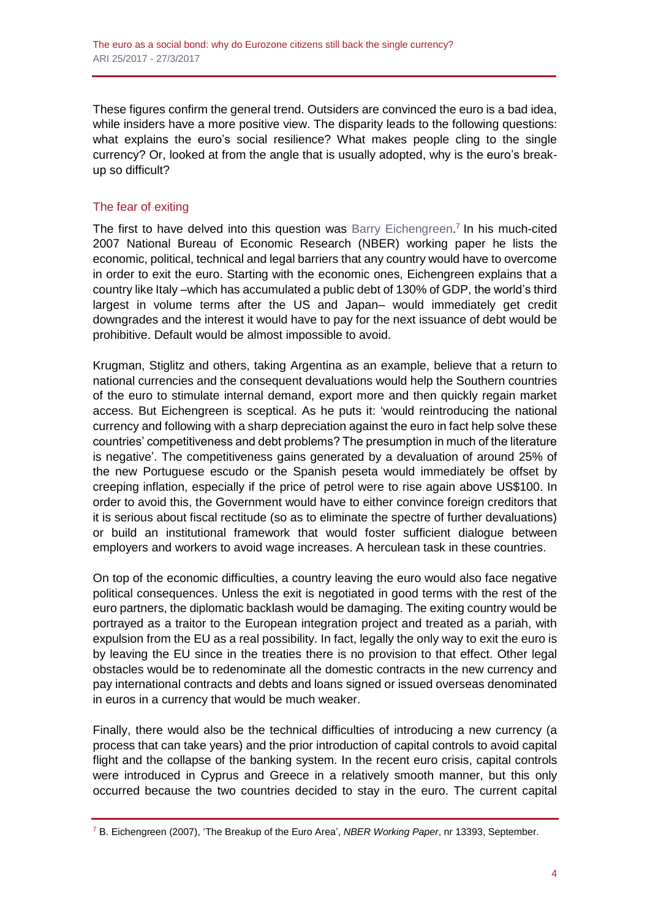These figures confirm the general trend. Outsiders are convinced the euro is a bad idea, while insiders have a more positive view. The disparity leads to the following questions: what explains the euro's social resilience? What makes people cling to the single currency? Or, looked at from the angle that is usually adopted, why is the euro's breakup so difficult?

## The fear of exiting

The first to have delved into this question was [Barry Eichengreen.](http://www.nber.org/papers/w13393)<sup>7</sup> In his much-cited 2007 National Bureau of Economic Research (NBER) working paper he lists the economic, political, technical and legal barriers that any country would have to overcome in order to exit the euro. Starting with the economic ones, Eichengreen explains that a country like Italy –which has accumulated a public debt of 130% of GDP, the world's third largest in volume terms after the US and Japan– would immediately get credit downgrades and the interest it would have to pay for the next issuance of debt would be prohibitive. Default would be almost impossible to avoid.

Krugman, Stiglitz and others, taking Argentina as an example, believe that a return to national currencies and the consequent devaluations would help the Southern countries of the euro to stimulate internal demand, export more and then quickly regain market access. But Eichengreen is sceptical. As he puts it: 'would reintroducing the national currency and following with a sharp depreciation against the euro in fact help solve these countries' competitiveness and debt problems? The presumption in much of the literature is negative'. The competitiveness gains generated by a devaluation of around 25% of the new Portuguese escudo or the Spanish peseta would immediately be offset by creeping inflation, especially if the price of petrol were to rise again above US\$100. In order to avoid this, the Government would have to either convince foreign creditors that it is serious about fiscal rectitude (so as to eliminate the spectre of further devaluations) or build an institutional framework that would foster sufficient dialogue between employers and workers to avoid wage increases. A herculean task in these countries.

On top of the economic difficulties, a country leaving the euro would also face negative political consequences. Unless the exit is negotiated in good terms with the rest of the euro partners, the diplomatic backlash would be damaging. The exiting country would be portrayed as a traitor to the European integration project and treated as a pariah, with expulsion from the EU as a real possibility. In fact, legally the only way to exit the euro is by leaving the EU since in the treaties there is no provision to that effect. Other legal obstacles would be to redenominate all the domestic contracts in the new currency and pay international contracts and debts and loans signed or issued overseas denominated in euros in a currency that would be much weaker.

Finally, there would also be the technical difficulties of introducing a new currency (a process that can take years) and the prior introduction of capital controls to avoid capital flight and the collapse of the banking system. In the recent euro crisis, capital controls were introduced in Cyprus and Greece in a relatively smooth manner, but this only occurred because the two countries decided to stay in the euro. The current capital

<sup>7</sup> B. Eichengreen (2007), 'The Breakup of the Euro Area', *NBER Working Paper*, nr 13393, September.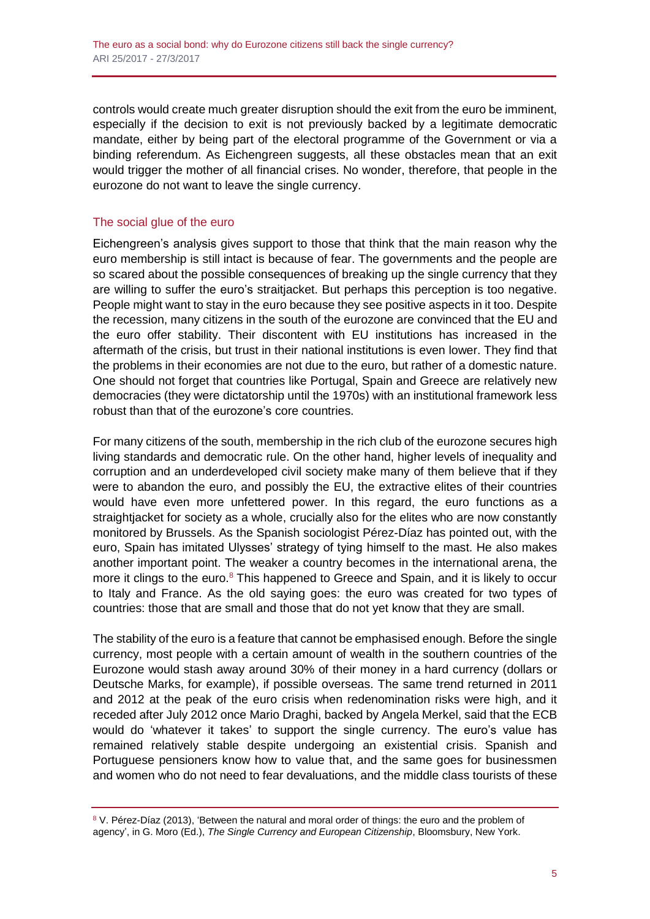controls would create much greater disruption should the exit from the euro be imminent, especially if the decision to exit is not previously backed by a legitimate democratic mandate, either by being part of the electoral programme of the Government or via a binding referendum. As Eichengreen suggests, all these obstacles mean that an exit would trigger the mother of all financial crises. No wonder, therefore, that people in the eurozone do not want to leave the single currency.

## The social glue of the euro

Eichengreen's analysis gives support to those that think that the main reason why the euro membership is still intact is because of fear. The governments and the people are so scared about the possible consequences of breaking up the single currency that they are willing to suffer the euro's straitjacket. But perhaps this perception is too negative. People might want to stay in the euro because they see positive aspects in it too. Despite the recession, many citizens in the south of the eurozone are convinced that the EU and the euro offer stability. Their discontent with EU institutions has increased in the aftermath of the crisis, but trust in their national institutions is even lower. They find that the problems in their economies are not due to the euro, but rather of a domestic nature. One should not forget that countries like Portugal, Spain and Greece are relatively new democracies (they were dictatorship until the 1970s) with an institutional framework less robust than that of the eurozone's core countries.

For many citizens of the south, membership in the rich club of the eurozone secures high living standards and democratic rule. On the other hand, higher levels of inequality and corruption and an underdeveloped civil society make many of them believe that if they were to abandon the euro, and possibly the EU, the extractive elites of their countries would have even more unfettered power. In this regard, the euro functions as a straightjacket for society as a whole, crucially also for the elites who are now constantly monitored by Brussels. As the Spanish sociologist Pérez-Díaz has pointed out, with the euro, Spain has imitated Ulysses' strategy of tying himself to the mast. He also makes another important point. The weaker a country becomes in the international arena, the more it clings to the euro. $8$  This happened to Greece and Spain, and it is likely to occur to Italy and France. As the old saying goes: the euro was created for two types of countries: those that are small and those that do not yet know that they are small.

The stability of the euro is a feature that cannot be emphasised enough. Before the single currency, most people with a certain amount of wealth in the southern countries of the Eurozone would stash away around 30% of their money in a hard currency (dollars or Deutsche Marks, for example), if possible overseas. The same trend returned in 2011 and 2012 at the peak of the euro crisis when redenomination risks were high, and it receded after July 2012 once Mario Draghi, backed by Angela Merkel, said that the ECB would do 'whatever it takes' to support the single currency. The euro's value has remained relatively stable despite undergoing an existential crisis. Spanish and Portuguese pensioners know how to value that, and the same goes for businessmen and women who do not need to fear devaluations, and the middle class tourists of these

<sup>8</sup> V. Pérez-Díaz (2013), 'Between the natural and moral order of things: the euro and the problem of agency', in G. Moro (Ed.), *The Single Currency and European Citizenship*, Bloomsbury, New York.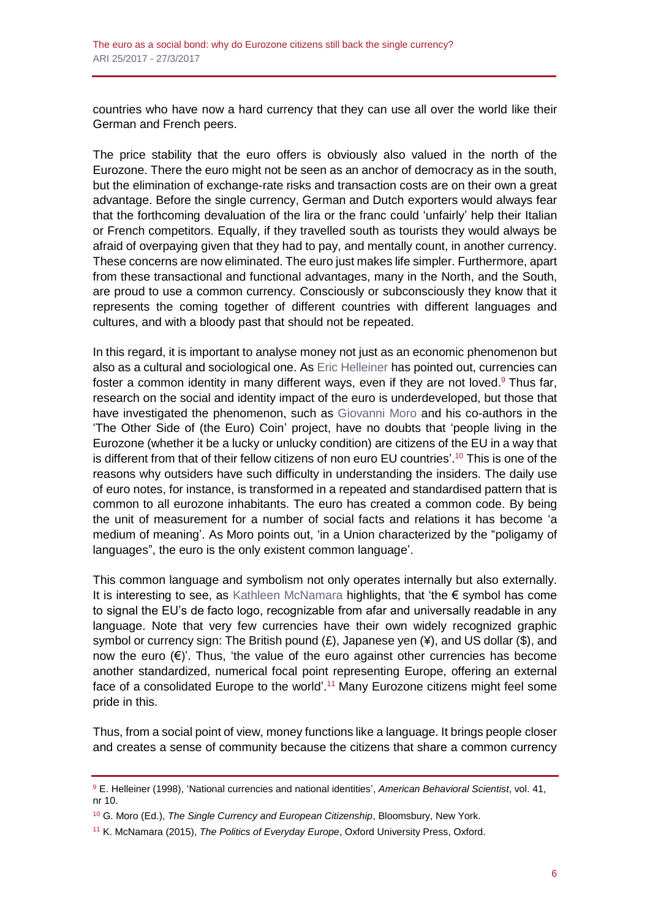countries who have now a hard currency that they can use all over the world like their German and French peers.

The price stability that the euro offers is obviously also valued in the north of the Eurozone. There the euro might not be seen as an anchor of democracy as in the south, but the elimination of exchange-rate risks and transaction costs are on their own a great advantage. Before the single currency, German and Dutch exporters would always fear that the forthcoming devaluation of the lira or the franc could 'unfairly' help their Italian or French competitors. Equally, if they travelled south as tourists they would always be afraid of overpaying given that they had to pay, and mentally count, in another currency. These concerns are now eliminated. The euro just makes life simpler. Furthermore, apart from these transactional and functional advantages, many in the North, and the South, are proud to use a common currency. Consciously or subconsciously they know that it represents the coming together of different countries with different languages and cultures, and with a bloody past that should not be repeated.

In this regard, it is important to analyse money not just as an economic phenomenon but also as a cultural and sociological one. As [Eric Helleiner](http://abs.sagepub.com/content/41/10/1409.abstract) has pointed out, currencies can foster a common identity in many different ways, even if they are not loved.<sup>9</sup> Thus far, research on the social and identity impact of the euro is underdeveloped, but those that have investigated the phenomenon, such as [Giovanni Moro](http://www.bloomsbury.com/us/the-single-currency-and-european-citizenship-9781623566845/) and his co-authors in the 'The Other Side of (the Euro) Coin' project, have no doubts that 'people living in the Eurozone (whether it be a lucky or unlucky condition) are citizens of the EU in a way that is different from that of their fellow citizens of non euro EU countries'. <sup>10</sup> This is one of the reasons why outsiders have such difficulty in understanding the insiders. The daily use of euro notes, for instance, is transformed in a repeated and standardised pattern that is common to all eurozone inhabitants. The euro has created a common code. By being the unit of measurement for a number of social facts and relations it has become 'a medium of meaning'. As Moro points out, 'in a Union characterized by the "poligamy of languages", the euro is the only existent common language'.

This common language and symbolism not only operates internally but also externally. It is interesting to see, as [Kathleen McNamara](https://global.oup.com/academic/product/the-politics-of-everyday-europe-9780198716235?cc=ru&lang=en&) highlights, that 'the  $\epsilon$  symbol has come to signal the EU's de facto logo, recognizable from afar and universally readable in any language. Note that very few currencies have their own widely recognized graphic symbol or currency sign: The British pound (£), Japanese yen (¥), and US dollar (\$), and now the euro (€)'. Thus, 'the value of the euro against other currencies has become another standardized, numerical focal point representing Europe, offering an external face of a consolidated Europe to the world'.<sup>11</sup> Many Eurozone citizens might feel some pride in this.

Thus, from a social point of view, money functions like a language. It brings people closer and creates a sense of community because the citizens that share a common currency

<sup>9</sup> E. Helleiner (1998), 'National currencies and national identities', *American Behavioral Scientist*, vol. 41, nr 10.

<sup>10</sup> G. Moro (Ed.), *The Single Currency and European Citizenship*, Bloomsbury, New York.

<sup>11</sup> K. McNamara (2015), *The Politics of Everyday Europe*, Oxford University Press, Oxford.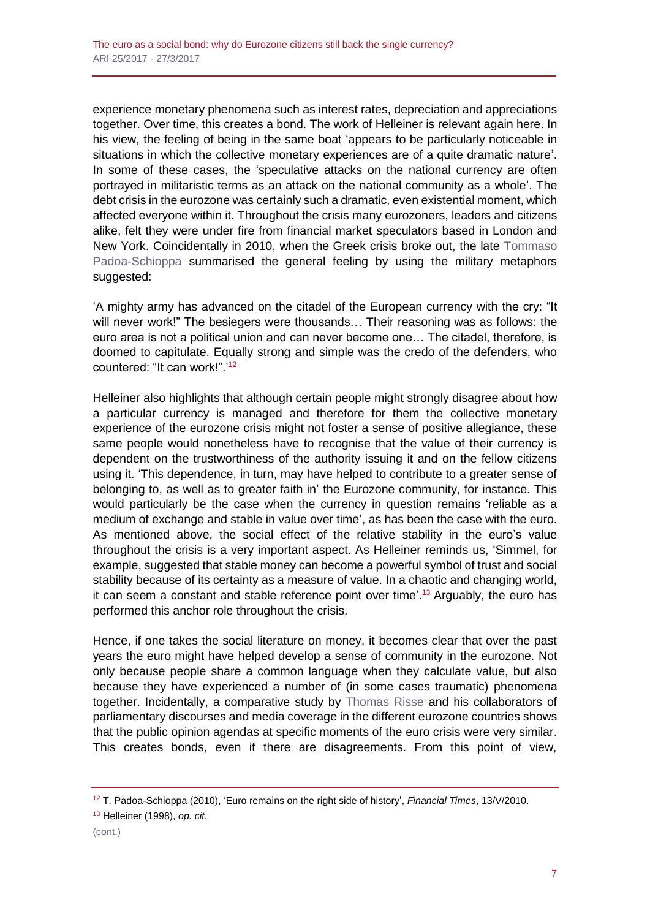experience monetary phenomena such as interest rates, depreciation and appreciations together. Over time, this creates a bond. The work of Helleiner is relevant again here. In his view, the feeling of being in the same boat 'appears to be particularly noticeable in situations in which the collective monetary experiences are of a quite dramatic nature'. In some of these cases, the 'speculative attacks on the national currency are often portrayed in militaristic terms as an attack on the national community as a whole'. The debt crisis in the eurozone was certainly such a dramatic, even existential moment, which affected everyone within it. Throughout the crisis many eurozoners, leaders and citizens alike, felt they were under fire from financial market speculators based in London and New York. Coincidentally in 2010, when the Greek crisis broke out, the late [Tommaso](https://www.ft.com/content/7596170a-5ec0-11df-af86-00144feab49a)  [Padoa-Schioppa](https://www.ft.com/content/7596170a-5ec0-11df-af86-00144feab49a) summarised the general feeling by using the military metaphors suggested:

'A mighty army has advanced on the citadel of the European currency with the cry: "It will never work!" The besiegers were thousands… Their reasoning was as follows: the euro area is not a political union and can never become one… The citadel, therefore, is doomed to capitulate. Equally strong and simple was the credo of the defenders, who countered: "It can work!".'<sup>12</sup>

Helleiner also highlights that although certain people might strongly disagree about how a particular currency is managed and therefore for them the collective monetary experience of the eurozone crisis might not foster a sense of positive allegiance, these same people would nonetheless have to recognise that the value of their currency is dependent on the trustworthiness of the authority issuing it and on the fellow citizens using it. 'This dependence, in turn, may have helped to contribute to a greater sense of belonging to, as well as to greater faith in' the Eurozone community, for instance. This would particularly be the case when the currency in question remains 'reliable as a medium of exchange and stable in value over time', as has been the case with the euro. As mentioned above, the social effect of the relative stability in the euro's value throughout the crisis is a very important aspect. As Helleiner reminds us, 'Simmel, for example, suggested that stable money can become a powerful symbol of trust and social stability because of its certainty as a measure of value. In a chaotic and changing world, it can seem a constant and stable reference point over time'.<sup>13</sup> Arguably, the euro has performed this anchor role throughout the crisis.

Hence, if one takes the social literature on money, it becomes clear that over the past years the euro might have helped develop a sense of community in the eurozone. Not only because people share a common language when they calculate value, but also because they have experienced a number of (in some cases traumatic) phenomena together. Incidentally, a comparative study by [Thomas Risse](http://www.cambridge.org/catalogue/catalogue.asp?isbn=1107441633) and his collaborators of parliamentary discourses and media coverage in the different eurozone countries shows that the public opinion agendas at specific moments of the euro crisis were very similar. This creates bonds, even if there are disagreements. From this point of view,

<sup>13</sup> Helleiner (1998), *op. cit*.

<sup>12</sup> T. Padoa-Schioppa (2010), 'Euro remains on the right side of history', *Financial Times*, 13/V/2010.